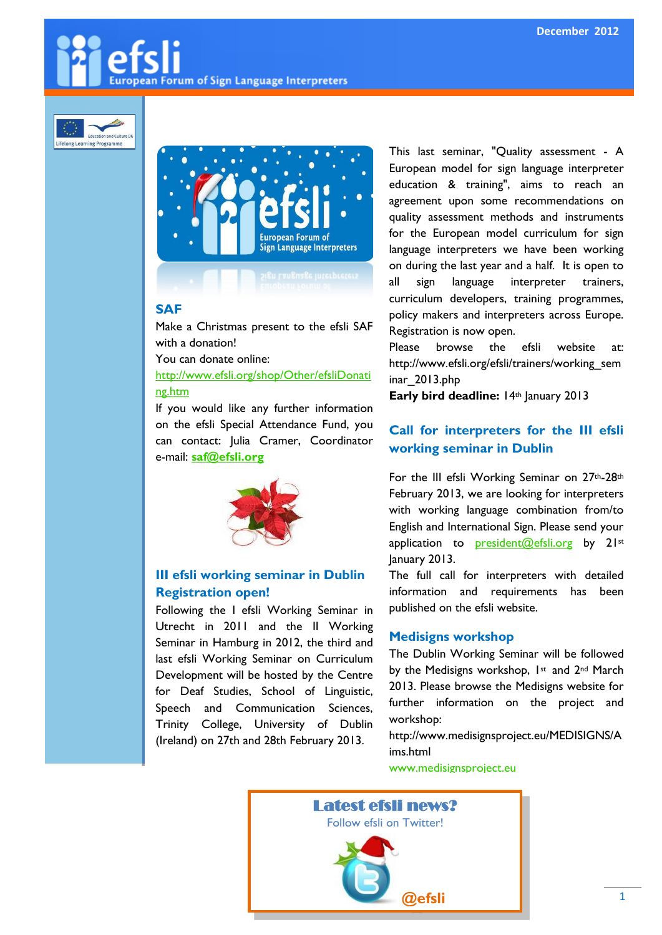# **European Forum of Sign Language Interpreters**





# **the SAF SAF**

Make a Christmas present to the efsli SAF with a donation!

You can donate online:

#### [http://www.efsli.org/shop/Other/efsliDonati](http://www.efsli.org/shop/Other/efsliDonating.htm) [ng.htm](http://www.efsli.org/shop/Other/efsliDonating.htm)

If you would like any further information on the efsli Special Attendance Fund, you can contact: Julia Cramer, Coordinator e-mail: **[saf@efsli.org](mailto:saf@efsli.org)**



### **III efsli working seminar in Dublin Registration open!**

Following the I efsli Working Seminar in Utrecht in 2011 and the II Working Seminar in Hamburg in 2012, the third and last efsli Working Seminar on Curriculum Development will be hosted by the Centre for Deaf Studies, School of Linguistic, Speech and Communication Sciences, Trinity College, University of Dublin (Ireland) on 27th and 28th February 2013.

This last seminar, "Quality assessment - A European model for sign language interpreter education & training", aims to reach an agreement upon some recommendations on quality assessment methods and instruments for the European model curriculum for sign language interpreters we have been working on during the last year and a half. It is open to all sign language interpreter trainers, curriculum developers, training programmes, policy makers and interpreters across Europe. Registration is now open.

Please browse the efsli website at: http://www.efsli.org/efsli/trainers/working\_sem inar\_2013.php

**Early bird deadline:** 14th January 2013

# **Call for interpreters for the III efsli working seminar in Dublin**

For the III efsli Working Seminar on 27<sup>th</sup>-28<sup>th</sup> February 2013, we are looking for interpreters with working language combination from/to English and International Sign. Please send your application to **[president@efsli.org](mailto:president@efsli.org)** by 21st January 2013.

The full call for interpreters with detailed information and requirements has been published on the efsli website.

#### **Medisigns workshop**

The Dublin Working Seminar will be followed by the Medisigns workshop, 1st and 2nd March 2013. Please browse the Medisigns website for further information on the project and workshop:

http://www.medisignsproject.eu/MEDISIGNS/A ims.html

[www.medisignsproject.eu](http://www.medisignsproject.eu/)

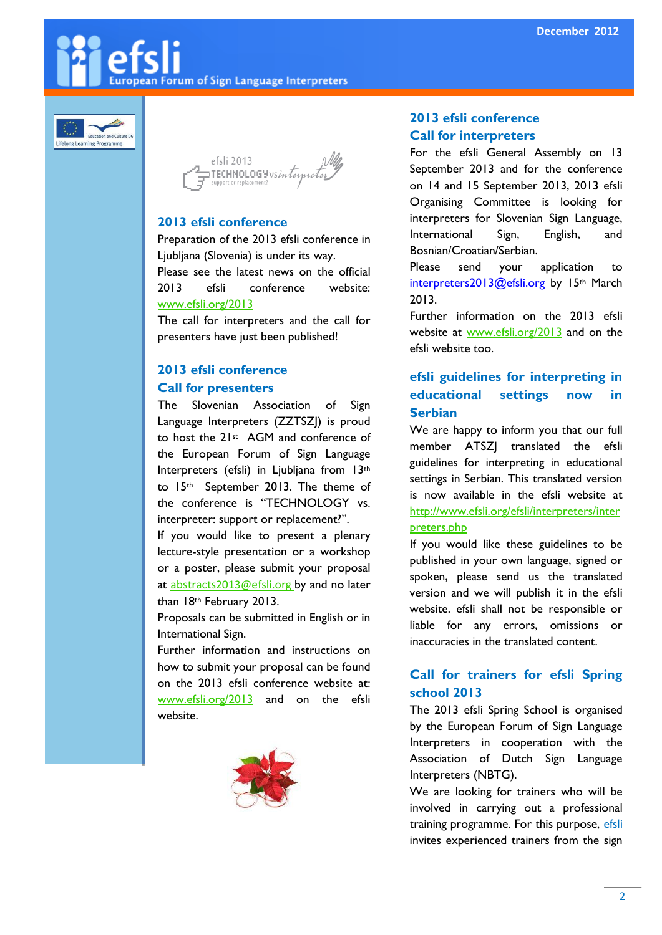**European Forum of Sign Language Interpreters** 



efsli 2013  $\alpha$ TECHNOLOGYvs*interpret* 

#### **2013 efsli conference**

Preparation of the 2013 efsli conference in Ljubljana (Slovenia) is under its way. Please see the latest news on the official 2013 efsli conference website: [www.efsli.org/2013](http://www.efsli.org/2013)

The call for interpreters and the call for presenters have just been published!

# **2013 efsli conference**

## **Call for presenters**

The Slovenian Association of Sign Language Interpreters (ZZTSZJ) is proud to host the 21<sup>st</sup> AGM and conference of the European Forum of Sign Language Interpreters (efsli) in Ljubljana from 13th to 15th September 2013. The theme of the conference is "TECHNOLOGY vs. interpreter: support or replacement?".

If you would like to present a plenary lecture-style presentation or a workshop or a poster, please submit your proposal at [abstracts2013@efsli.org](mailto:abstracts2013@efsli.org) by and no later than 18th February 2013.

Proposals can be submitted in English or in International Sign.

Further information and instructions on how to submit your proposal can be found on the 2013 efsli conference website at: [www.efsli.org/2013](http://www.efsli.org/2013) and on the efsli website.



## **2013 efsli conference Call for interpreters**

For the efsli General Assembly on 13 September 2013 and for the conference on 14 and 15 September 2013, 2013 efsli Organising Committee is looking for interpreters for Slovenian Sign Language, International Sign, English, and Bosnian/Croatian/Serbian.

Please send your application to interpreters2013@efsli.org by 15th March 2013.

Further information on the 2013 efsli website at [www.efsli.org/2013](http://www.efsli.org/2013) and on the efsli website too.

# **efsli guidelines for interpreting in educational settings now in Serbian**

We are happy to inform you that our full member ATSZJ translated the efsli guidelines for interpreting in educational settings in Serbian. This translated version is now available in the efsli website at [http://www.efsli.org/efsli/interpreters/inter](http://www.efsli.org/efsli/interpreters/interpreters.php) [preters.php](http://www.efsli.org/efsli/interpreters/interpreters.php)

If you would like these guidelines to be published in your own language, signed or spoken, please send us the translated version and we will publish it in the efsli website. efsli shall not be responsible or liable for any errors, omissions or inaccuracies in the translated content.

# **Call for trainers for efsli Spring school 2013**

The 2013 efsli Spring School is organised by the European Forum of Sign Language Interpreters in cooperation with the Association of Dutch Sign Language Interpreters (NBTG).

We are looking for trainers who will be involved in carrying out a professional training programme. For this purpose, efsli invites experienced trainers from the sign